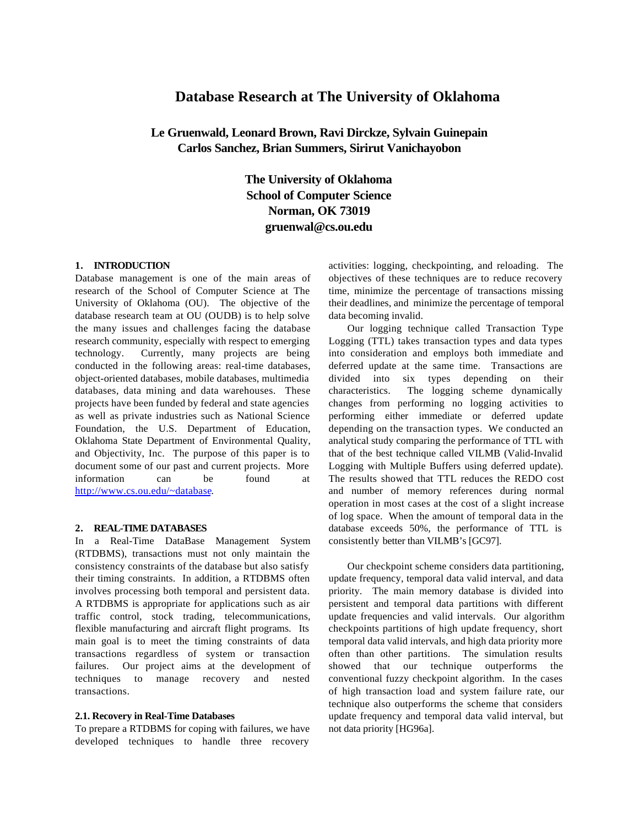# **Database Research at The University of Oklahoma**

**Le Gruenwald, Leonard Brown, Ravi Dirckze, Sylvain Guinepain Carlos Sanchez, Brian Summers, Sirirut Vanichayobon**

> **The University of Oklahoma School of Computer Science Norman, OK 73019 gruenwal@cs.ou.edu**

## **1. INTRODUCTION**

Database management is one of the main areas of research of the School of Computer Science at The University of Oklahoma (OU). The objective of the database research team at OU (OUDB) is to help solve the many issues and challenges facing the database research community, especially with respect to emerging technology. Currently, many projects are being conducted in the following areas: real-time databases, object-oriented databases, mobile databases, multimedia databases, data mining and data warehouses. These projects have been funded by federal and state agencies as well as private industries such as National Science Foundation, the U.S. Department of Education, Oklahoma State Department of Environmental Quality, and Objectivity, Inc. The purpose of this paper is to document some of our past and current projects. More information can be found at http://www.cs.ou.edu/~database.

## **2. REAL-TIME DATABASES**

In a Real-Time DataBase Management System (RTDBMS), transactions must not only maintain the consistency constraints of the database but also satisfy their timing constraints. In addition, a RTDBMS often involves processing both temporal and persistent data. A RTDBMS is appropriate for applications such as air traffic control, stock trading, telecommunications, flexible manufacturing and aircraft flight programs. Its main goal is to meet the timing constraints of data transactions regardless of system or transaction failures. Our project aims at the development of techniques to manage recovery and nested transactions.

## **2.1. Recovery in Real-Time Databases**

To prepare a RTDBMS for coping with failures, we have developed techniques to handle three recovery activities: logging, checkpointing, and reloading. The objectives of these techniques are to reduce recovery time, minimize the percentage of transactions missing their deadlines, and minimize the percentage of temporal data becoming invalid.

Our logging technique called Transaction Type Logging (TTL) takes transaction types and data types into consideration and employs both immediate and deferred update at the same time. Transactions are divided into six types depending on their characteristics. The logging scheme dynamically changes from performing no logging activities to performing either immediate or deferred update depending on the transaction types. We conducted an analytical study comparing the performance of TTL with that of the best technique called VILMB (Valid-Invalid Logging with Multiple Buffers using deferred update). The results showed that TTL reduces the REDO cost and number of memory references during normal operation in most cases at the cost of a slight increase of log space. When the amount of temporal data in the database exceeds 50%, the performance of TTL is consistently better than VILMB's [GC97].

Our checkpoint scheme considers data partitioning, update frequency, temporal data valid interval, and data priority. The main memory database is divided into persistent and temporal data partitions with different update frequencies and valid intervals. Our algorithm checkpoints partitions of high update frequency, short temporal data valid intervals, and high data priority more often than other partitions. The simulation results showed that our technique outperforms the conventional fuzzy checkpoint algorithm. In the cases of high transaction load and system failure rate, our technique also outperforms the scheme that considers update frequency and temporal data valid interval, but not data priority [HG96a].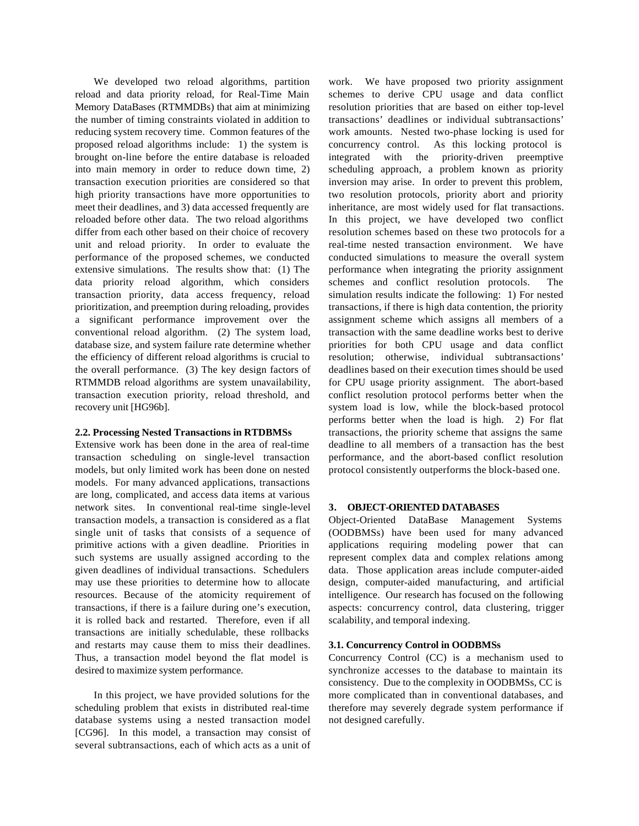We developed two reload algorithms, partition reload and data priority reload, for Real-Time Main Memory DataBases (RTMMDBs) that aim at minimizing the number of timing constraints violated in addition to reducing system recovery time. Common features of the proposed reload algorithms include: 1) the system is brought on-line before the entire database is reloaded into main memory in order to reduce down time, 2) transaction execution priorities are considered so that high priority transactions have more opportunities to meet their deadlines, and 3) data accessed frequently are reloaded before other data. The two reload algorithms differ from each other based on their choice of recovery unit and reload priority. In order to evaluate the performance of the proposed schemes, we conducted extensive simulations. The results show that: (1) The data priority reload algorithm, which considers transaction priority, data access frequency, reload prioritization, and preemption during reloading, provides a significant performance improvement over the conventional reload algorithm. (2) The system load, database size, and system failure rate determine whether the efficiency of different reload algorithms is crucial to the overall performance. (3) The key design factors of RTMMDB reload algorithms are system unavailability, transaction execution priority, reload threshold, and recovery unit [HG96b].

## **2.2. Processing Nested Transactions in RTDBMSs**

Extensive work has been done in the area of real-time transaction scheduling on single-level transaction models, but only limited work has been done on nested models. For many advanced applications, transactions are long, complicated, and access data items at various network sites. In conventional real-time single-level transaction models, a transaction is considered as a flat single unit of tasks that consists of a sequence of primitive actions with a given deadline. Priorities in such systems are usually assigned according to the given deadlines of individual transactions. Schedulers may use these priorities to determine how to allocate resources. Because of the atomicity requirement of transactions, if there is a failure during one's execution, it is rolled back and restarted. Therefore, even if all transactions are initially schedulable, these rollbacks and restarts may cause them to miss their deadlines. Thus, a transaction model beyond the flat model is desired to maximize system performance.

In this project, we have provided solutions for the scheduling problem that exists in distributed real-time database systems using a nested transaction model [CG96]. In this model, a transaction may consist of several subtransactions, each of which acts as a unit of work. We have proposed two priority assignment schemes to derive CPU usage and data conflict resolution priorities that are based on either top-level transactions' deadlines or individual subtransactions' work amounts. Nested two-phase locking is used for concurrency control. As this locking protocol is integrated with the priority-driven preemptive scheduling approach, a problem known as priority inversion may arise. In order to prevent this problem, two resolution protocols, priority abort and priority inheritance, are most widely used for flat transactions. In this project, we have developed two conflict resolution schemes based on these two protocols for a real-time nested transaction environment. We have conducted simulations to measure the overall system performance when integrating the priority assignment schemes and conflict resolution protocols. The simulation results indicate the following: 1) For nested transactions, if there is high data contention, the priority assignment scheme which assigns all members of a transaction with the same deadline works best to derive priorities for both CPU usage and data conflict resolution; otherwise, individual subtransactions' deadlines based on their execution times should be used for CPU usage priority assignment. The abort-based conflict resolution protocol performs better when the system load is low, while the block-based protocol performs better when the load is high. 2) For flat transactions, the priority scheme that assigns the same deadline to all members of a transaction has the best performance, and the abort-based conflict resolution protocol consistently outperforms the block-based one.

## **3. OBJECT-ORIENTED DATABASES**

Object-Oriented DataBase Management Systems (OODBMSs) have been used for many advanced applications requiring modeling power that can represent complex data and complex relations among data. Those application areas include computer-aided design, computer-aided manufacturing, and artificial intelligence. Our research has focused on the following aspects: concurrency control, data clustering, trigger scalability, and temporal indexing.

#### **3.1. Concurrency Control in OODBMSs**

Concurrency Control (CC) is a mechanism used to synchronize accesses to the database to maintain its consistency. Due to the complexity in OODBMSs, CC is more complicated than in conventional databases, and therefore may severely degrade system performance if not designed carefully.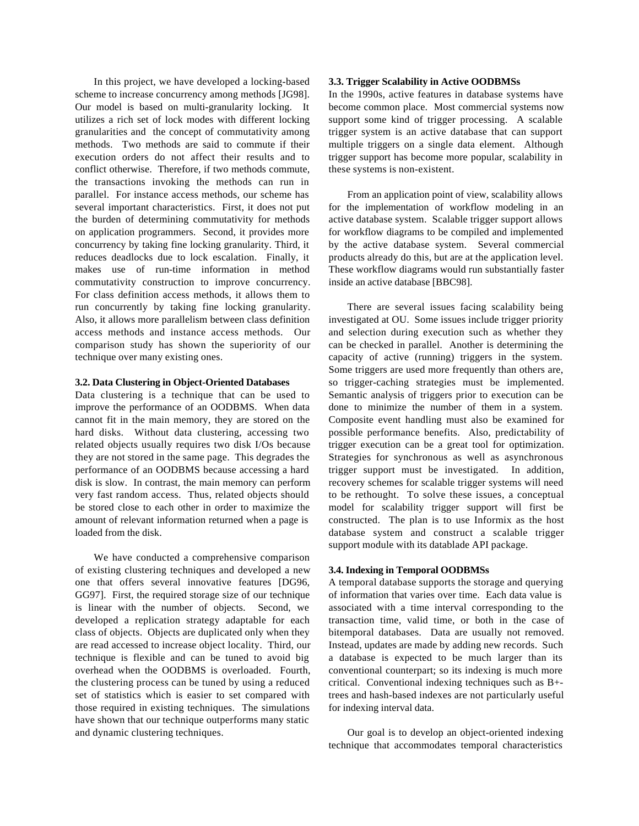In this project, we have developed a locking-based scheme to increase concurrency among methods [JG98]. Our model is based on multi-granularity locking. It utilizes a rich set of lock modes with different locking granularities and the concept of commutativity among methods. Two methods are said to commute if their execution orders do not affect their results and to conflict otherwise. Therefore, if two methods commute, the transactions invoking the methods can run in parallel. For instance access methods, our scheme has several important characteristics. First, it does not put the burden of determining commutativity for methods on application programmers. Second, it provides more concurrency by taking fine locking granularity. Third, it reduces deadlocks due to lock escalation. Finally, it makes use of run-time information in method commutativity construction to improve concurrency. For class definition access methods, it allows them to run concurrently by taking fine locking granularity. Also, it allows more parallelism between class definition access methods and instance access methods. Our comparison study has shown the superiority of our technique over many existing ones.

#### **3.2. Data Clustering in Object-Oriented Databases**

Data clustering is a technique that can be used to improve the performance of an OODBMS. When data cannot fit in the main memory, they are stored on the hard disks. Without data clustering, accessing two related objects usually requires two disk I/Os because they are not stored in the same page. This degrades the performance of an OODBMS because accessing a hard disk is slow. In contrast, the main memory can perform very fast random access. Thus, related objects should be stored close to each other in order to maximize the amount of relevant information returned when a page is loaded from the disk.

We have conducted a comprehensive comparison of existing clustering techniques and developed a new one that offers several innovative features [DG96, GG97]. First, the required storage size of our technique is linear with the number of objects. Second, we developed a replication strategy adaptable for each class of objects. Objects are duplicated only when they are read accessed to increase object locality. Third, our technique is flexible and can be tuned to avoid big overhead when the OODBMS is overloaded. Fourth, the clustering process can be tuned by using a reduced set of statistics which is easier to set compared with those required in existing techniques. The simulations have shown that our technique outperforms many static and dynamic clustering techniques.

#### **3.3. Trigger Scalability in Active OODBMSs**

In the 1990s, active features in database systems have become common place. Most commercial systems now support some kind of trigger processing. A scalable trigger system is an active database that can support multiple triggers on a single data element. Although trigger support has become more popular, scalability in these systems is non-existent.

From an application point of view, scalability allows for the implementation of workflow modeling in an active database system. Scalable trigger support allows for workflow diagrams to be compiled and implemented by the active database system. Several commercial products already do this, but are at the application level. These workflow diagrams would run substantially faster inside an active database [BBC98].

There are several issues facing scalability being investigated at OU. Some issues include trigger priority and selection during execution such as whether they can be checked in parallel. Another is determining the capacity of active (running) triggers in the system. Some triggers are used more frequently than others are, so trigger-caching strategies must be implemented. Semantic analysis of triggers prior to execution can be done to minimize the number of them in a system. Composite event handling must also be examined for possible performance benefits. Also, predictability of trigger execution can be a great tool for optimization. Strategies for synchronous as well as asynchronous trigger support must be investigated. In addition, recovery schemes for scalable trigger systems will need to be rethought. To solve these issues, a conceptual model for scalability trigger support will first be constructed. The plan is to use Informix as the host database system and construct a scalable trigger support module with its datablade API package.

## **3.4. Indexing in Temporal OODBMSs**

A temporal database supports the storage and querying of information that varies over time. Each data value is associated with a time interval corresponding to the transaction time, valid time, or both in the case of bitemporal databases. Data are usually not removed. Instead, updates are made by adding new records. Such a database is expected to be much larger than its conventional counterpart; so its indexing is much more critical. Conventional indexing techniques such as B+ trees and hash-based indexes are not particularly useful for indexing interval data.

Our goal is to develop an object-oriented indexing technique that accommodates temporal characteristics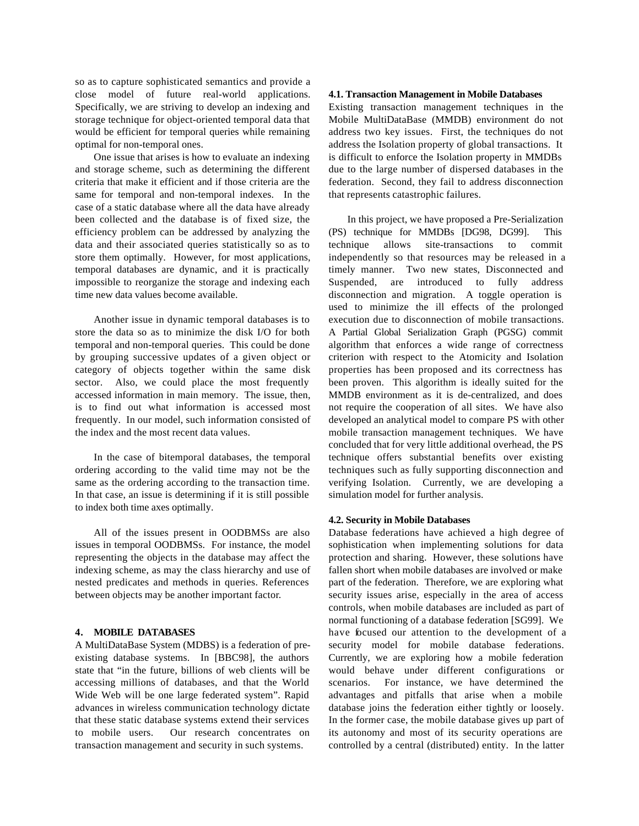so as to capture sophisticated semantics and provide a close model of future real-world applications. Specifically, we are striving to develop an indexing and storage technique for object-oriented temporal data that would be efficient for temporal queries while remaining optimal for non-temporal ones.

One issue that arises is how to evaluate an indexing and storage scheme, such as determining the different criteria that make it efficient and if those criteria are the same for temporal and non-temporal indexes. In the case of a static database where all the data have already been collected and the database is of fixed size, the efficiency problem can be addressed by analyzing the data and their associated queries statistically so as to store them optimally. However, for most applications, temporal databases are dynamic, and it is practically impossible to reorganize the storage and indexing each time new data values become available.

Another issue in dynamic temporal databases is to store the data so as to minimize the disk I/O for both temporal and non-temporal queries. This could be done by grouping successive updates of a given object or category of objects together within the same disk sector. Also, we could place the most frequently accessed information in main memory. The issue, then, is to find out what information is accessed most frequently. In our model, such information consisted of the index and the most recent data values.

In the case of bitemporal databases, the temporal ordering according to the valid time may not be the same as the ordering according to the transaction time. In that case, an issue is determining if it is still possible to index both time axes optimally.

All of the issues present in OODBMSs are also issues in temporal OODBMSs. For instance, the model representing the objects in the database may affect the indexing scheme, as may the class hierarchy and use of nested predicates and methods in queries. References between objects may be another important factor.

#### **4. MOBILE DATABASES**

A MultiDataBase System (MDBS) is a federation of preexisting database systems. In [BBC98], the authors state that "in the future, billions of web clients will be accessing millions of databases, and that the World Wide Web will be one large federated system". Rapid advances in wireless communication technology dictate that these static database systems extend their services to mobile users. Our research concentrates on transaction management and security in such systems.

#### **4.1. Transaction Management in Mobile Databases**

Existing transaction management techniques in the Mobile MultiDataBase (MMDB) environment do not address two key issues. First, the techniques do not address the Isolation property of global transactions. It is difficult to enforce the Isolation property in MMDBs due to the large number of dispersed databases in the federation. Second, they fail to address disconnection that represents catastrophic failures.

In this project, we have proposed a Pre-Serialization (PS) technique for MMDBs [DG98, DG99]. This technique allows site-transactions to commit independently so that resources may be released in a timely manner. Two new states, Disconnected and Suspended, are introduced to fully address disconnection and migration. A toggle operation is used to minimize the ill effects of the prolonged execution due to disconnection of mobile transactions. A Partial Global Serialization Graph (PGSG) commit algorithm that enforces a wide range of correctness criterion with respect to the Atomicity and Isolation properties has been proposed and its correctness has been proven. This algorithm is ideally suited for the MMDB environment as it is de-centralized, and does not require the cooperation of all sites. We have also developed an analytical model to compare PS with other mobile transaction management techniques. We have concluded that for very little additional overhead, the PS technique offers substantial benefits over existing techniques such as fully supporting disconnection and verifying Isolation. Currently, we are developing a simulation model for further analysis.

#### **4.2. Security in Mobile Databases**

Database federations have achieved a high degree of sophistication when implementing solutions for data protection and sharing. However, these solutions have fallen short when mobile databases are involved or make part of the federation. Therefore, we are exploring what security issues arise, especially in the area of access controls, when mobile databases are included as part of normal functioning of a database federation [SG99]. We have focused our attention to the development of a security model for mobile database federations. Currently, we are exploring how a mobile federation would behave under different configurations or scenarios. For instance, we have determined the advantages and pitfalls that arise when a mobile database joins the federation either tightly or loosely. In the former case, the mobile database gives up part of its autonomy and most of its security operations are controlled by a central (distributed) entity. In the latter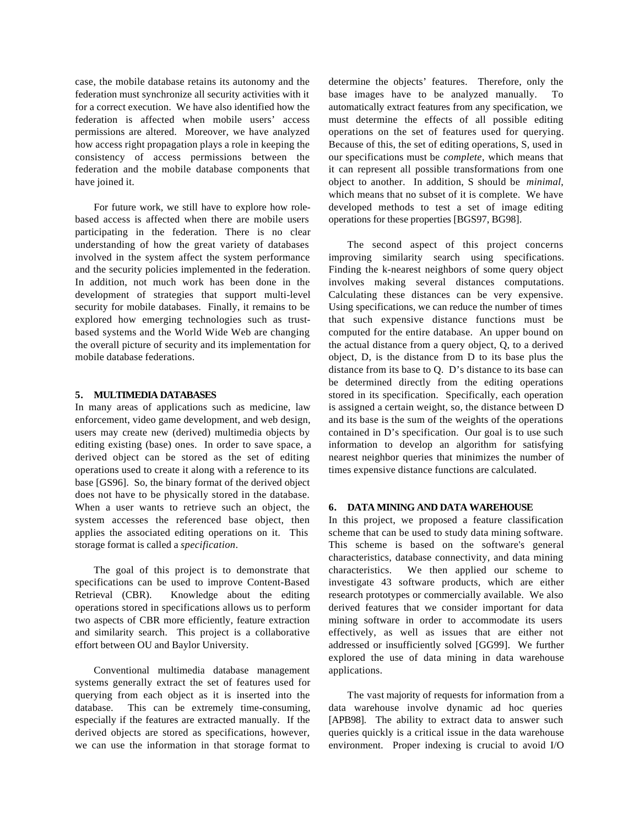case, the mobile database retains its autonomy and the federation must synchronize all security activities with it for a correct execution. We have also identified how the federation is affected when mobile users' access permissions are altered. Moreover, we have analyzed how access right propagation plays a role in keeping the consistency of access permissions between the federation and the mobile database components that have joined it.

For future work, we still have to explore how rolebased access is affected when there are mobile users participating in the federation. There is no clear understanding of how the great variety of databases involved in the system affect the system performance and the security policies implemented in the federation. In addition, not much work has been done in the development of strategies that support multi-level security for mobile databases. Finally, it remains to be explored how emerging technologies such as trustbased systems and the World Wide Web are changing the overall picture of security and its implementation for mobile database federations.

### **5. MULTIMEDIA DATABASES**

In many areas of applications such as medicine, law enforcement, video game development, and web design, users may create new (derived) multimedia objects by editing existing (base) ones. In order to save space, a derived object can be stored as the set of editing operations used to create it along with a reference to its base [GS96]. So, the binary format of the derived object does not have to be physically stored in the database. When a user wants to retrieve such an object, the system accesses the referenced base object, then applies the associated editing operations on it. This storage format is called a *specification*.

The goal of this project is to demonstrate that specifications can be used to improve Content-Based Retrieval (CBR). Knowledge about the editing operations stored in specifications allows us to perform two aspects of CBR more efficiently, feature extraction and similarity search. This project is a collaborative effort between OU and Baylor University.

Conventional multimedia database management systems generally extract the set of features used for querying from each object as it is inserted into the database. This can be extremely time-consuming, especially if the features are extracted manually. If the derived objects are stored as specifications, however, we can use the information in that storage format to

determine the objects' features. Therefore, only the base images have to be analyzed manually. To automatically extract features from any specification, we must determine the effects of all possible editing operations on the set of features used for querying. Because of this, the set of editing operations, S, used in our specifications must be *complete*, which means that it can represent all possible transformations from one object to another. In addition, S should be *minimal*, which means that no subset of it is complete. We have developed methods to test a set of image editing operations for these properties [BGS97, BG98].

The second aspect of this project concerns improving similarity search using specifications. Finding the k-nearest neighbors of some query object involves making several distances computations. Calculating these distances can be very expensive. Using specifications, we can reduce the number of times that such expensive distance functions must be computed for the entire database. An upper bound on the actual distance from a query object, Q, to a derived object, D, is the distance from D to its base plus the distance from its base to Q. D's distance to its base can be determined directly from the editing operations stored in its specification. Specifically, each operation is assigned a certain weight, so, the distance between D and its base is the sum of the weights of the operations contained in D's specification. Our goal is to use such information to develop an algorithm for satisfying nearest neighbor queries that minimizes the number of times expensive distance functions are calculated.

## **6. DATA MINING AND DATA WAREHOUSE**

In this project, we proposed a feature classification scheme that can be used to study data mining software. This scheme is based on the software's general characteristics, database connectivity, and data mining characteristics. We then applied our scheme to investigate 43 software products, which are either research prototypes or commercially available. We also derived features that we consider important for data mining software in order to accommodate its users effectively, as well as issues that are either not addressed or insufficiently solved [GG99]. We further explored the use of data mining in data warehouse applications.

The vast majority of requests for information from a data warehouse involve dynamic ad hoc queries [APB98]. The ability to extract data to answer such queries quickly is a critical issue in the data warehouse environment. Proper indexing is crucial to avoid I/O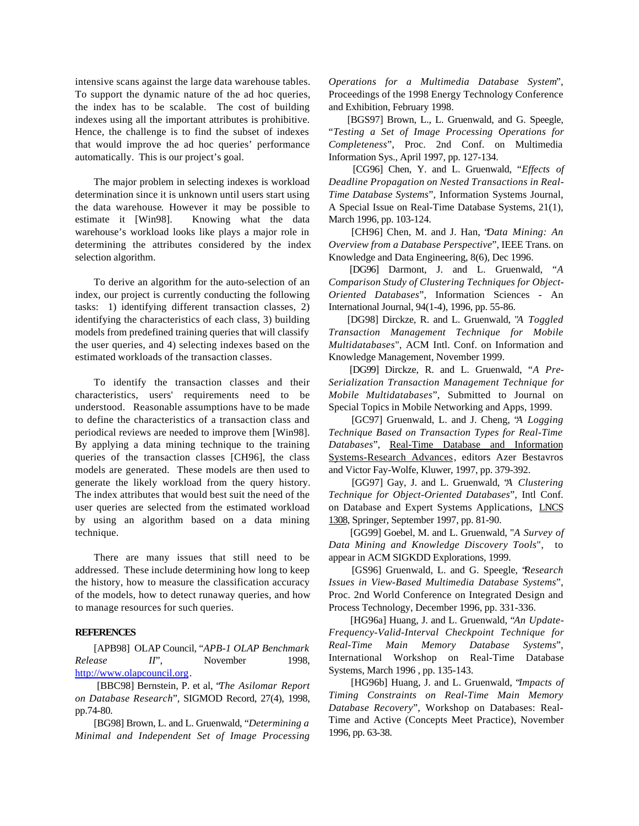intensive scans against the large data warehouse tables. To support the dynamic nature of the ad hoc queries, the index has to be scalable. The cost of building indexes using all the important attributes is prohibitive. Hence, the challenge is to find the subset of indexes that would improve the ad hoc queries' performance automatically. This is our project's goal.

The major problem in selecting indexes is workload determination since it is unknown until users start using the data warehouse. However it may be possible to estimate it [Win98]. Knowing what the data warehouse's workload looks like plays a major role in determining the attributes considered by the index selection algorithm.

To derive an algorithm for the auto-selection of an index, our project is currently conducting the following tasks: 1) identifying different transaction classes, 2) identifying the characteristics of each class, 3) building models from predefined training queries that will classify the user queries, and 4) selecting indexes based on the estimated workloads of the transaction classes.

To identify the transaction classes and their characteristics, users' requirements need to be understood. Reasonable assumptions have to be made to define the characteristics of a transaction class and periodical reviews are needed to improve them [Win98]. By applying a data mining technique to the training queries of the transaction classes [CH96], the class models are generated. These models are then used to generate the likely workload from the query history. The index attributes that would best suit the need of the user queries are selected from the estimated workload by using an algorithm based on a data mining technique.

There are many issues that still need to be addressed. These include determining how long to keep the history, how to measure the classification accuracy of the models, how to detect runaway queries, and how to manage resources for such queries.

#### **REFERENCES**

[APB98] OLAP Council, "*APB-1 OLAP Benchmark Release II*", November 1998, http://www.olapcouncil.org.

 [BBC98] Bernstein, P. et al, "*The Asilomar Report on Database Research*", SIGMOD Record, 27(4), 1998, pp.74-80.

[BG98] Brown, L. and L. Gruenwald, "*Determining a Minimal and Independent Set of Image Processing*

*Operations for a Multimedia Database System*", Proceedings of the 1998 Energy Technology Conference and Exhibition, February 1998.

[BGS97] Brown, L., L. Gruenwald, and G. Speegle, "*Testing a Set of Image Processing Operations for Completeness*", Proc. 2nd Conf. on Multimedia Information Sys., April 1997, pp. 127-134.

 [CG96] Chen, Y. and L. Gruenwald, "*Effects of Deadline Propagation on Nested Transactions in Real-Time Database Systems*", Information Systems Journal, A Special Issue on Real-Time Database Systems, 21(1), March 1996, pp. 103-124.

 [CH96] Chen, M. and J. Han, "*Data Mining: An Overview from a Database Perspective*", IEEE Trans. on Knowledge and Data Engineering, 8(6), Dec 1996.

 [DG96] Darmont, J. and L. Gruenwald, "*A Comparison Study of Clustering Techniques for Object-Oriented Databases*", Information Sciences - An International Journal, 94(1-4), 1996, pp. 55-86.

[DG98] Dirckze, R. and L. Gruenwald, "*A Toggled Transaction Management Technique for Mobile Multidatabases*", ACM Intl. Conf. on Information and Knowledge Management, November 1999.

 [DG99] Dirckze, R. and L. Gruenwald, "*A Pre-Serialization Transaction Management Technique for Mobile Multidatabases*", Submitted to Journal on Special Topics in Mobile Networking and Apps, 1999.

 [GC97] Gruenwald, L. and J. Cheng, "*A Logging Technique Based on Transaction Types for Real-Time Databases*", Real-Time Database and Information Systems-Research Advances, editors Azer Bestavros and Victor Fay-Wolfe, Kluwer, 1997, pp. 379-392.

 [GG97] Gay, J. and L. Gruenwald, "*A Clustering Technique for Object-Oriented Databases*", Intl Conf. on Database and Expert Systems Applications, LNCS 1308, Springer, September 1997, pp. 81-90.

 [GG99] Goebel, M. and L. Gruenwald, "*A Survey of Data Mining and Knowledge Discovery Tools*", to appear in ACM SIGKDD Explorations, 1999.

 [GS96] Gruenwald, L. and G. Speegle, "*Research Issues in View-Based Multimedia Database Systems*", Proc. 2nd World Conference on Integrated Design and Process Technology, December 1996, pp. 331-336.

 [HG96a] Huang, J. and L. Gruenwald, "*An Update-Frequency-Valid-Interval Checkpoint Technique for Real-Time Main Memory Database Systems*", International Workshop on Real-Time Database Systems, March 1996 , pp. 135-143.

 [HG96b] Huang, J. and L. Gruenwald, "*Impacts of Timing Constraints on Real-Time Main Memory Database Recovery*", Workshop on Databases: Real-Time and Active (Concepts Meet Practice), November 1996, pp. 63-38.